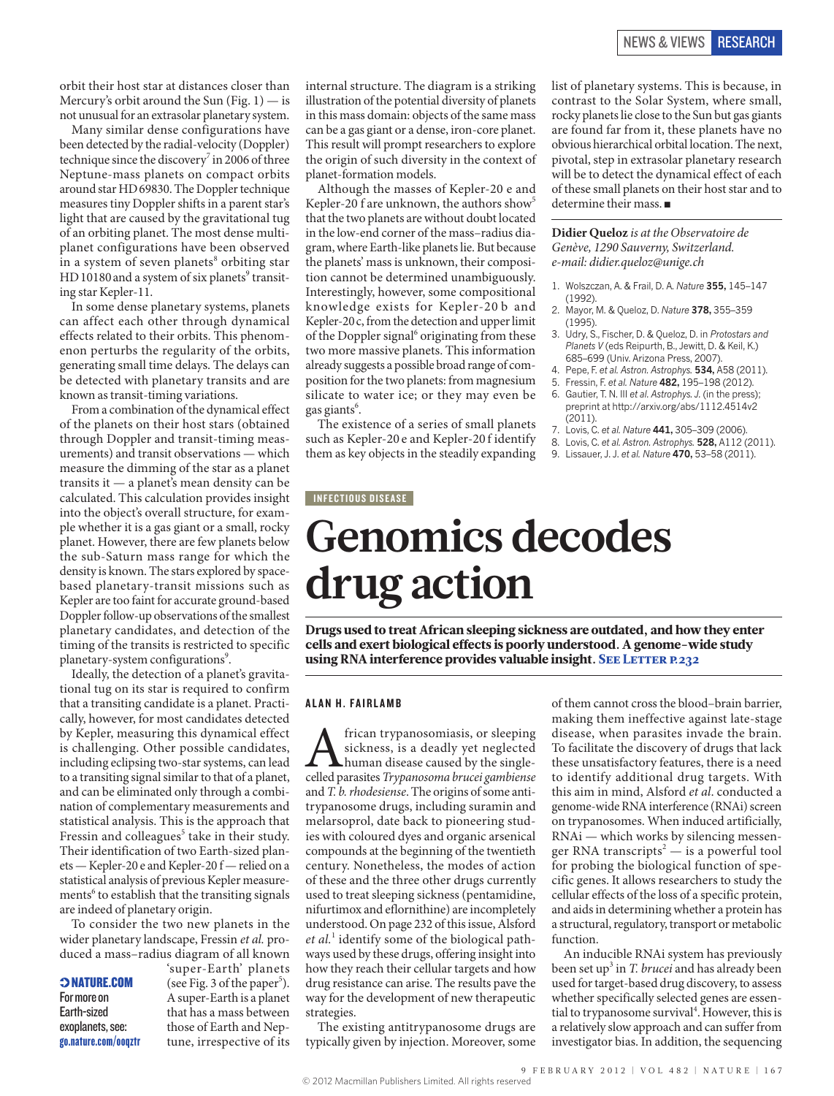orbit their host star at distances closer than Mercury's orbit around the Sun (Fig.  $1$ ) — is not unusual for an extrasolar planetary system.

Many similar dense configurations have been detected by the radial-velocity (Doppler) technique since the discovery<sup>7</sup> in 2006 of three Neptune-mass planets on compact orbits around star HD69830. The Doppler technique measures tiny Doppler shifts in a parent star's light that are caused by the gravitational tug of an orbiting planet. The most dense multiplanet configurations have been observed in a system of seven planets $^{\rm 8}$  orbiting star  $HD$  10180 and a system of six planets $^9$  transiting star Kepler-11.

In some dense planetary systems, planets can affect each other through dynamical effects related to their orbits. This phenomenon perturbs the regularity of the orbits, generating small time delays. The delays can be detected with planetary transits and are known as transit-timing variations.

From a combination of the dynamical effect of the planets on their host stars (obtained through Doppler and transit-timing measurements) and transit observations — which measure the dimming of the star as a planet transits it — a planet's mean density can be calculated. This calculation provides insight into the object's overall structure, for example whether it is a gas giant or a small, rocky planet. However, there are few planets below the sub-Saturn mass range for which the density is known. The stars explored by spacebased planetary-transit missions such as Kepler are too faint for accurate ground-based Doppler follow-up observations of the smallest planetary candidates, and detection of the timing of the transits is restricted to specific planetary-system configurations<sup>9</sup>.

Ideally, the detection of a planet's gravitational tug on its star is required to confirm that a transiting candidate is a planet. Practically, however, for most candidates detected by Kepler, measuring this dynamical effect is challenging. Other possible candidates, including eclipsing two-star systems, can lead to a transiting signal similar to that of a planet, and can be eliminated only through a combination of complementary measurements and statistical analysis. This is the approach that Fressin and colleagues<sup>5</sup> take in their study. Their identification of two Earth-sized planets — Kepler-20 e and Kepler-20 f — relied on a statistical analysis of previous Kepler measurements<sup>6</sup> to establish that the transiting signals are indeed of planetary origin.

To consider the two new planets in the wider planetary landscape, Fressin *et al.* produced a mass–radius diagram of all known

#### NATURE.COM

For more on Earth-sized exoplanets, see: go.nature.com/ooqztr

'super-Earth' planets (see Fig. 3 of the paper<sup>5</sup>). A super-Earth is a planet that has a mass between those of Earth and Neptune, irrespective of its

internal structure. The diagram is a striking illustration of the potential diversity of planets in this mass domain: objects of the same mass can be a gas giant or a dense, iron-core planet. This result will prompt researchers to explore the origin of such diversity in the context of planet-formation models.

Although the masses of Kepler-20 e and Kepler-20 f are unknown, the authors show<sup>5</sup> that the two planets are without doubt located in the low-end corner of the mass–radius diagram,where Earth-like planets lie. But because the planets' mass is unknown, their composition cannot be determined unambiguously. Interestingly, however, some compositional knowledge exists for Kepler-20 b and Kepler-20c, from the detection and upper limit of the Doppler signal<sup>6</sup> originating from these two more massive planets. This information already suggests a possible broad range of composition for the two planets: from magnesium silicate to water ice; or they may even be  ${\rm gas}\ {\rm giants}^6.$ 

The existence of a series of small planets such as Kepler-20 e and Kepler-20 f identify them as key objects in the steadily expanding

### INFECTIOUS DISEASE

list of planetary systems. This is because, in contrast to the Solar System, where small, rocky planets lie close to the Sun but gas giants are found far from it, these planets have no obvious hierarchical orbital location. The next, pivotal, step in extrasolar planetary research will be to detect the dynamical effect of each of these small planets on their host star and to determine their mass. ■

**Didier Queloz** *is at the Observatoire de Genève, 1290 Sauverny, Switzerland. e-mail: didier.queloz@unige.ch*

- 1. Wolszczan, A. & Frail, D. A. *Nature* **355,** 145–147  $(1992)$
- 2. Mayor, M. & Queloz, D. *Nature* **378,** 355–359  $(1995)$ .
- 3. Udry, S., Fischer, D. & Queloz, D. in *Protostars and Planets V* (eds Reipurth, B., Jewitt, D. & Keil, K.) 685–699 (Univ. Arizona Press, 2007).
- 4. Pepe, F. *et al. Astron. Astrophys.* **534,** A58 (2011).
- 5. Fressin, F. *et al. Nature* **482,** 195–198 (2012).
- 6. Gautier, T. N. III *et al. Astrophys. J.* (in the press); preprint at http://arxiv.org/abs/1112.4514v2 (2011).
- 7. Lovis, C. *et al. Nature* **441,** 305–309 (2006).
- 8. Lovis, C. *et al. Astron. Astrophys.* **528,** A112 (2011).
- 9. Lissauer, J. J. *et al. Nature* **470,** 53–58 (2011).

## **Genomics decodes drug action**

Drugs used to treat African sleeping sickness are outdated, and how they enter cells and exert biological effects is poorly understood. A genome-wide study using RNA interference provides valuable insight. SEE LETTER P.232

#### ALAN H. FAIRLAMB

**A** frican trypanosomiasis, or sleeping<br>sickness, is a deadly yet neglected<br>human disease caused by the single-<br>celled parasites Trypanosoma brucei gambiense sickness, is a deadly yet neglected human disease caused by the singlecelled parasites *Trypanosoma brucei gambiense* and *T. b. rhodesiense*. The origins of some antitrypanosome drugs, including suramin and melarsoprol, date back to pioneering studies with coloured dyes and organic arsenical compounds at the beginning of the twentieth century. Nonetheless, the modes of action of these and the three other drugs currently used to treat sleeping sickness (pentamidine, nifurtimox and eflornithine) are incompletely understood. On page 232 of this issue, Alsford et al.<sup>1</sup> identify some of the biological pathways used by these drugs, offering insight into how they reach their cellular targets and how drug resistance can arise. The results pave the way for the development of new therapeutic strategies.

The existing antitrypanosome drugs are typically given by injection. Moreover, some of them cannot cross the blood–brain barrier, making them ineffective against late-stage disease, when parasites invade the brain. To facilitate the discovery of drugs that lack these unsatisfactory features, there is a need to identify additional drug targets. With this aim in mind, Alsford *et al*. conducted a genome-wide RNA interference (RNAi) screen on trypanosomes. When induced artificially, RNAi — which works by silencing messenger RNA transcripts<sup>2</sup>  $-$  is a powerful tool for probing the biological function of specific genes. It allows researchers to study the cellular effects of the loss of a specific protein, and aids in determining whether a protein has a structural, regulatory, transport or metabolic function.

An inducible RNAi system has previously been set up<sup>3</sup> in *T. brucei* and has already been used for target-based drug discovery, to assess whether specifically selected genes are essential to trypanosome survival<sup>4</sup>. However, this is a relatively slow approach and can suffer from investigator bias. In addition, the sequencing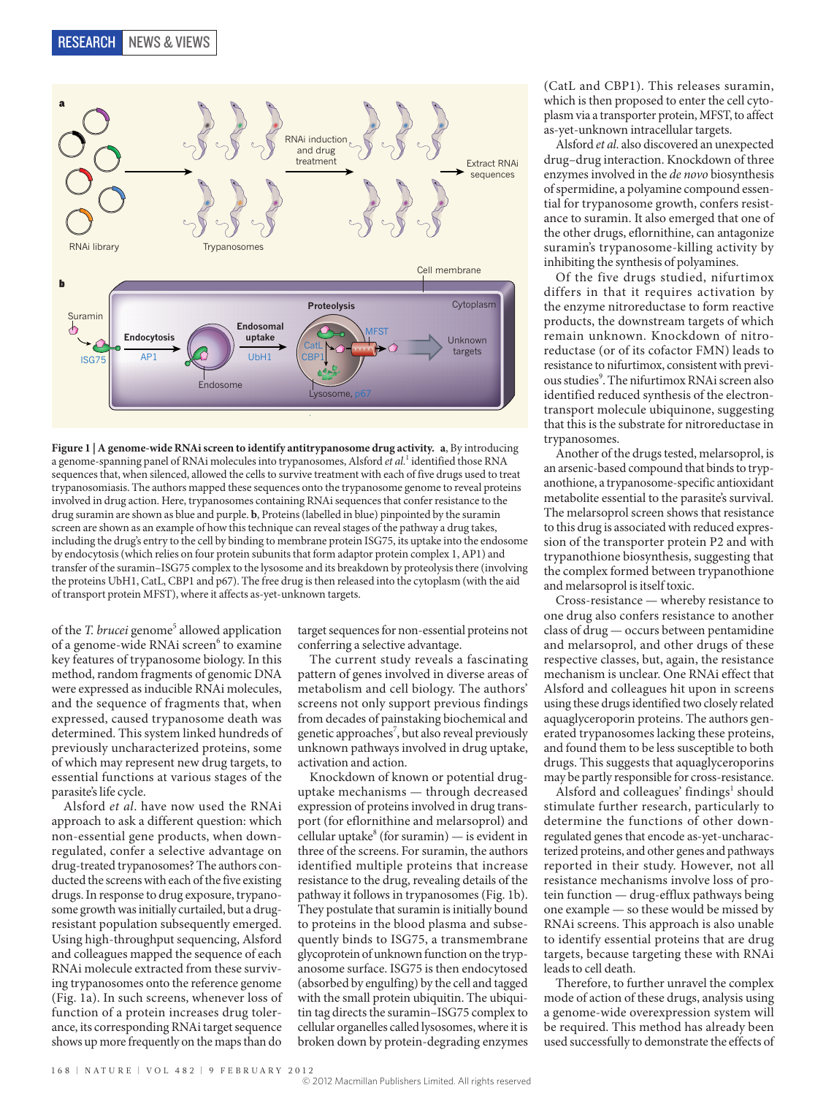

**Figure 1 | A genome-wide RNAi screen to identify antitrypanosome drug activity. a**, By introducing a genome-spanning panel of RNAi molecules into trypanosomes, Alsford *et al.*<sup>1</sup> identified those RNA sequences that, when silenced, allowed the cells to survive treatment with each of five drugs used to treat trypanosomiasis. The authors mapped these sequences onto the trypanosome genome to reveal proteins involved in drug action. Here, trypanosomes containing RNAi sequences that confer resistance to the drug suramin are shown as blue and purple. **b**, Proteins (labelled in blue) pinpointed by the suramin screen are shown as an example of how this technique can reveal stages of the pathway a drug takes, including the drug's entry to the cell by binding to membrane protein ISG75, its uptake into the endosome by endocytosis (which relies on four protein subunits that form adaptor protein complex 1, AP1) and transfer of the suramin–ISG75 complex to the lysosome and its breakdown by proteolysis there (involving the proteins UbH1, CatL, CBP1 and p67). The free drug is then released into the cytoplasm (with the aid of transport protein MFST), where it affects as-yet-unknown targets.

of the *T. brucei* genome<sup>5</sup> allowed application of a genome-wide RNAi screen<sup>6</sup> to examine key features of trypanosome biology. In this method, random fragments of genomic DNA were expressed as inducible RNAi molecules, and the sequence of fragments that, when expressed, caused trypanosome death was determined. This system linked hundreds of previously uncharacterized proteins, some of which may represent new drug targets, to essential functions at various stages of the parasite's life cycle.

Alsford *et al*. have now used the RNAi approach to ask a different question: which non-essential gene products, when downregulated, confer a selective advantage on drug-treated trypanosomes? The authors conducted the screens with each of the five existing drugs. In response to drug exposure, trypanosome growth was initially curtailed, but a drugresistant population subsequently emerged. Using high-throughput sequencing, Alsford and colleagues mapped the sequence of each RNAi molecule extracted from these surviving trypanosomes onto the reference genome (Fig. 1a). In such screens, whenever loss of function of a protein increases drug tolerance, its corresponding RNAi target sequence shows up more frequently on the maps than do

target sequences for non-essential proteins not conferring a selective advantage.

The current study reveals a fascinating pattern of genes involved in diverse areas of metabolism and cell biology. The authors' screens not only support previous findings from decades of painstaking biochemical and genetic approaches<sup>7</sup>, but also reveal previously unknown pathways involved in drug uptake, activation and action.

Knockdown of known or potential druguptake mechanisms — through decreased expression of proteins involved in drug transport (for eflornithine and melarsoprol) and  $cellular uptake<sup>8</sup> (for suramin) — is evident in$ three of the screens. For suramin, the authors identified multiple proteins that increase resistance to the drug, revealing details of the pathway it follows in trypanosomes (Fig. 1b). They postulate that suramin is initially bound to proteins in the blood plasma and subsequently binds to ISG75, a transmembrane glycoprotein of unknown function on the trypanosome surface. ISG75 is then endocytosed (absorbed by engulfing) by the cell and tagged with the small protein ubiquitin. The ubiquitin tag directs the suramin–ISG75 complex to cellular organelles called lysosomes, where it is broken down by protein-degrading enzymes

(CatL and CBP1). This releases suramin, which is then proposed to enter the cell cytoplasm via a transporter protein, MFST, to affect as-yet-unknown intracellular targets.

Alsford *et al*. also discovered an unexpected drug–drug interaction. Knockdown of three enzymes involved in the *de novo* biosynthesis of spermidine, a polyamine compound essential for trypanosome growth, confers resistance to suramin. It also emerged that one of the other drugs, eflornithine, can antagonize suramin's trypanosome-killing activity by inhibiting the synthesis of polyamines.

Of the five drugs studied, nifurtimox differs in that it requires activation by the enzyme nitroreductase to form reactive products, the downstream targets of which remain unknown. Knockdown of nitroreductase (or of its cofactor FMN) leads to resistance to nifurtimox, consistent with previous studies<sup>9</sup>. The nifurtimox RNAi screen also identified reduced synthesis of the electrontransport molecule ubiquinone, suggesting that this is the substrate for nitroreductase in trypanosomes.

Another of the drugs tested, melarsoprol, is an arsenic-based compound that binds to trypanothione, a trypanosome-specific antioxidant metabolite essential to the parasite's survival. The melarsoprol screen shows that resistance to this drug is associated with reduced expression of the transporter protein P2 and with trypanothione biosynthesis, suggesting that the complex formed between trypanothione and melarsoprol is itself toxic.

Cross-resistance — whereby resistance to one drug also confers resistance to another class of drug — occurs between pentamidine and melarsoprol, and other drugs of these respective classes, but, again, the resistance mechanism is unclear. One RNAi effect that Alsford and colleagues hit upon in screens using these drugs identified two closely related aquaglyceroporin proteins. The authors generated trypanosomes lacking these proteins, and found them to be less susceptible to both drugs. This suggests that aquaglyceroporins may be partly responsible for cross-resistance.

Alsford and colleagues' findings<sup>1</sup> should stimulate further research, particularly to determine the functions of other downregulated genes that encode as-yet-uncharacterized proteins, and other genes and pathways reported in their study. However, not all resistance mechanisms involve loss of protein function — drug-efflux pathways being one example — so these would be missed by RNAi screens. This approach is also unable to identify essential proteins that are drug targets, because targeting these with RNAi leads to cell death.

Therefore, to further unravel the complex mode of action of these drugs, analysis using a genome-wide overexpression system will be required. This method has already been used successfully to demonstrate the effects of